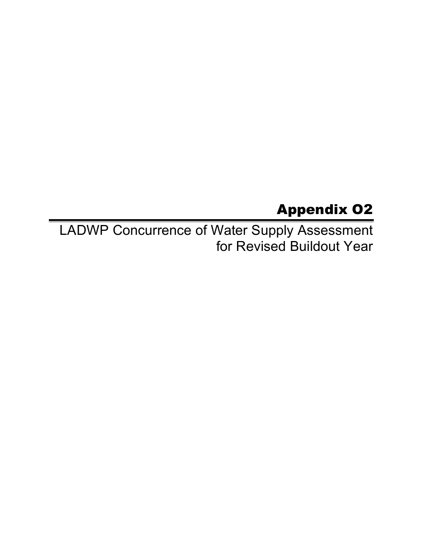## Appendix O2

 LADWP Concurrence of Water Supply Assessment for Revised Buildout Year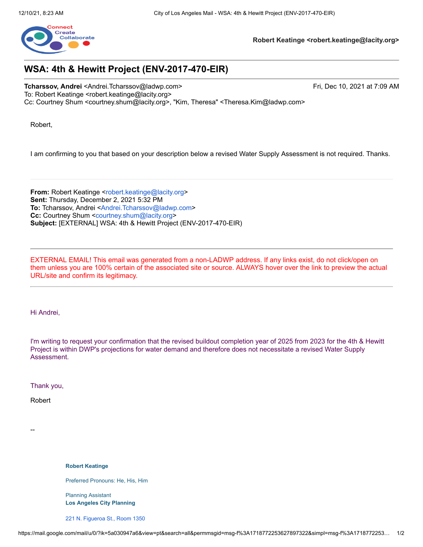

**Robert Keatinge <[robert.keatinge@lacity.org](mailto:robert.keatinge@lacity.org)>**

## **WSA: 4th & Hewitt Project (ENV-2017-470-EIR)**

**Tcharssov, Andrei** [<Andrei.Tcharssov@ladwp.com](mailto:Andrei.Tcharssov@ladwp.com)> Fri, Dec 10, 2021 at 7:09 AM To: Robert Keatinge <[robert.keatinge@lacity.org>](mailto:robert.keatinge@lacity.org) Cc: Courtney Shum <[courtney.shum@lacity.org>](mailto:courtney.shum@lacity.org), "Kim, Theresa" [<Theresa.Kim@ladwp.com](mailto:Theresa.Kim@ladwp.com)>

Robert,

I am confirming to you that based on your description below a revised Water Supply Assessment is not required. Thanks.

**From:** Robert Keatinge [<robert.keatinge@lacity.org>](mailto:robert.keatinge@lacity.org) **Sent:** Thursday, December 2, 2021 5:32 PM **To:** Tcharssov, Andrei [<Andrei.Tcharssov@ladwp.com](mailto:Andrei.Tcharssov@ladwp.com)> **Cc:** Courtney Shum [<courtney.shum@lacity.org>](mailto:courtney.shum@lacity.org) **Subject:** [EXTERNAL] WSA: 4th & Hewitt Project (ENV-2017-470-EIR)

 EXTERNAL EMAIL! This email was generated from a non-LADWP address. If any links exist, do not click/open on them unless you are 100% certain of the associated site or source. ALWAYS hover over the link to preview the actual URL/site and confirm its legitimacy.

Hi Andrei,

I'm writing to request your confirmation that the revised buildout completion year of 2025 from 2023 for the 4th & Hewitt Project is within DWP's projections for water demand and therefore does not necessitate a revised Water Supply Assessment.

Thank you,

Robert

--

**Robert Keatinge**

Preferred Pronouns: He, His, Him

 Planning Assistant  **Los Angeles City Planning**

221 N. [Figueroa](https://www.google.com/maps/search/221+N.+Figueroa+St.,+Room+1350+%0D%0A+%0D%0A+Los+Angeles,+CA+90012?entry=gmail&source=g) St., Room 1350